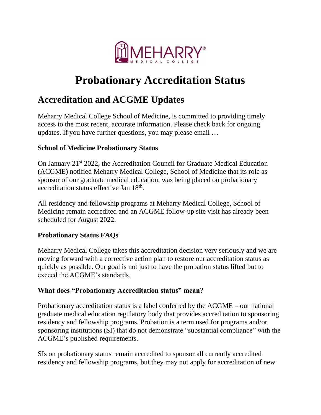

# **Probationary Accreditation Status**

## **Accreditation and ACGME Updates**

Meharry Medical College School of Medicine, is committed to providing timely access to the most recent, accurate information. Please check back for ongoing updates. If you have further questions, you may please email …

#### **School of Medicine Probationary Status**

On January 21st 2022, the Accreditation Council for Graduate Medical Education (ACGME) notified Meharry Medical College, School of Medicine that its role as sponsor of our graduate medical education, was being placed on probationary accreditation status effective Jan 18<sup>th</sup>.

All residency and fellowship programs at Meharry Medical College, School of Medicine remain accredited and an ACGME follow-up site visit has already been scheduled for August 2022.

#### **Probationary Status FAQs**

Meharry Medical College takes this accreditation decision very seriously and we are moving forward with a corrective action plan to restore our accreditation status as quickly as possible. Our goal is not just to have the probation status lifted but to exceed the ACGME's standards.

#### **What does "Probationary Accreditation status" mean?**

Probationary accreditation status is a label conferred by the ACGME – our national graduate medical education regulatory body that provides accreditation to sponsoring residency and fellowship programs. Probation is a term used for programs and/or sponsoring institutions (SI) that do not demonstrate "substantial compliance" with the ACGME's published requirements.

SIs on probationary status remain accredited to sponsor all currently accredited residency and fellowship programs, but they may not apply for accreditation of new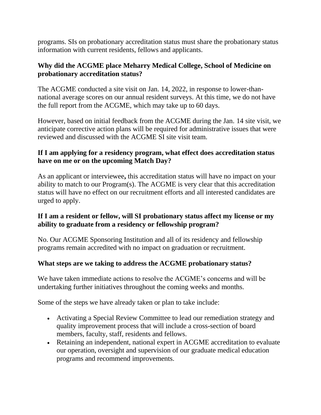programs. SIs on probationary accreditation status must share the probationary status information with current residents, fellows and applicants.

#### **Why did the ACGME place Meharry Medical College, School of Medicine on probationary accreditation status?**

The ACGME conducted a site visit on Jan. 14, 2022, in response to lower-thannational average scores on our annual resident surveys. At this time, we do not have the full report from the ACGME, which may take up to 60 days.

However, based on initial feedback from the ACGME during the Jan. 14 site visit, we anticipate corrective action plans will be required for administrative issues that were reviewed and discussed with the ACGME SI site visit team.

#### **If I am applying for a residency program, what effect does accreditation status have on me or on the upcoming Match Day?**

As an applicant or interviewee**,** this accreditation status will have no impact on your ability to match to our Program(s). The ACGME is very clear that this accreditation status will have no effect on our recruitment efforts and all interested candidates are urged to apply.

#### **If I am a resident or fellow, will SI probationary status affect my license or my ability to graduate from a residency or fellowship program?**

No. Our ACGME Sponsoring Institution and all of its residency and fellowship programs remain accredited with no impact on graduation or recruitment.

### **What steps are we taking to address the ACGME probationary status?**

We have taken immediate actions to resolve the ACGME's concerns and will be undertaking further initiatives throughout the coming weeks and months.

Some of the steps we have already taken or plan to take include:

- Activating a Special Review Committee to lead our remediation strategy and quality improvement process that will include a cross-section of board members, faculty, staff, residents and fellows.
- Retaining an independent, national expert in ACGME accreditation to evaluate our operation, oversight and supervision of our graduate medical education programs and recommend improvements.